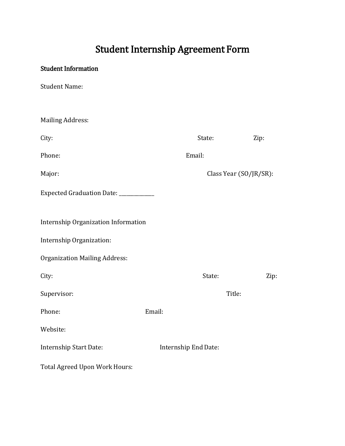## Student Internship Agreement Form

## Student Information

Student Name:

| <b>Mailing Address:</b>              |        |                        |        |      |
|--------------------------------------|--------|------------------------|--------|------|
| City:                                |        | State:                 |        | Zip: |
| Phone:                               |        | Email:                 |        |      |
| Major:                               |        | Class Year (SO/JR/SR): |        |      |
| Expected Graduation Date: __________ |        |                        |        |      |
| Internship Organization Information  |        |                        |        |      |
| Internship Organization:             |        |                        |        |      |
| <b>Organization Mailing Address:</b> |        |                        |        |      |
| City:                                |        | State:                 |        | Zip: |
| Supervisor:                          |        |                        | Title: |      |
| Phone:                               | Email: |                        |        |      |
| Website:                             |        |                        |        |      |
| Internship Start Date:               |        | Internship End Date:   |        |      |
| Total Agreed Upon Work Hours:        |        |                        |        |      |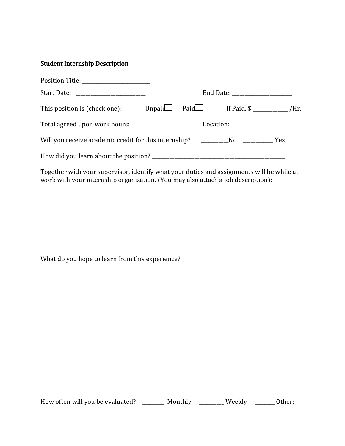## Student Internship Description

|                                                                                       | End Date: ______________________ |                                                                                                                                                                                                                                                                              |  |  |  |
|---------------------------------------------------------------------------------------|----------------------------------|------------------------------------------------------------------------------------------------------------------------------------------------------------------------------------------------------------------------------------------------------------------------------|--|--|--|
| This position is (check one):                                                         |                                  | Unpaid $Paid$ If Paid, $\oint$ If Paid, $\oint$ If Paid, $\oint$ If Paid, $\oint$ If Paid, $\oint$ If Paid, $\oint$ If Paid, $\oint$ If Paid, $\oint$ If Paid, $\oint$ If Paid, $\oint$ If Paid, $\oint$ If Paid, $\oint$ If Paid, $\oint$ If Paid, $\oint$ If Paid, $\oint$ |  |  |  |
| Total agreed upon work hours: _______________                                         |                                  |                                                                                                                                                                                                                                                                              |  |  |  |
| Will you receive academic credit for this internship? ___________________________ Yes |                                  |                                                                                                                                                                                                                                                                              |  |  |  |
| How did you learn about the position?                                                 |                                  |                                                                                                                                                                                                                                                                              |  |  |  |

Together with your supervisor, identify what your duties and assignments will be while at work with your internship organization. (You may also attach a job description):

What do you hope to learn from this experience?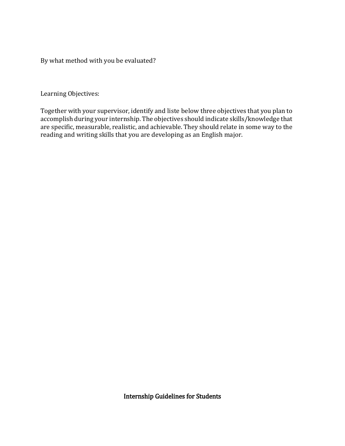By what method with you be evaluated?

Learning Objectives:

Together with your supervisor, identify and liste below three objectives that you plan to accomplish during your internship. The objectives should indicate skills/knowledge that are specific, measurable, realistic, and achievable. They should relate in some way to the reading and writing skills that you are developing as an English major.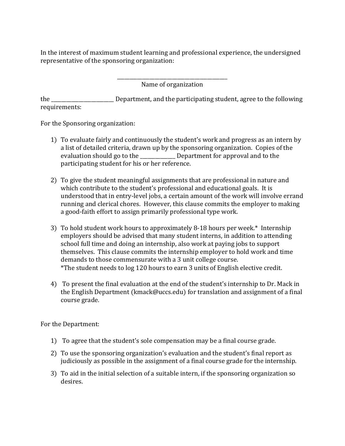In the interest of maximum student learning and professional experience, the undersigned representative of the sponsoring organization:

> \_\_\_\_\_\_\_\_\_\_\_\_\_\_\_\_\_\_\_\_\_\_\_\_\_\_\_\_\_\_\_\_\_\_\_\_\_\_\_\_\_\_\_\_ Name of organization

the \_\_\_\_\_\_\_\_\_\_\_\_\_\_\_\_\_\_\_\_\_\_\_\_\_ Department, and the participating student, agree to the following requirements:

For the Sponsoring organization:

- 1) To evaluate fairly and continuously the student's work and progress as an intern by a list of detailed criteria, drawn up by the sponsoring organization. Copies of the evaluation should go to the **Department for approval and to the** participating student for his or her reference.
- 2) To give the student meaningful assignments that are professional in nature and which contribute to the student's professional and educational goals. It is understood that in entry-level jobs, a certain amount of the work will involve errand running and clerical chores. However, this clause commits the employer to making a good-faith effort to assign primarily professional type work.
- 3) To hold student work hours to approximately 8-18 hours per week.\* Internship employers should be advised that many student interns, in addition to attending school full time and doing an internship, also work at paying jobs to support themselves. This clause commits the internship employer to hold work and time demands to those commensurate with a 3 unit college course. \*The student needs to log 120 hours to earn 3 units of English elective credit.
- 4) To present the final evaluation at the end of the student's internship to Dr. Mack in the English Department (kmack@uccs.edu) for translation and assignment of a final course grade.

For the Department:

- 1) To agree that the student's sole compensation may be a final course grade.
- 2) To use the sponsoring organization's evaluation and the student's final report as judiciously as possible in the assignment of a final course grade for the internship.
- 3) To aid in the initial selection of a suitable intern, if the sponsoring organization so desires.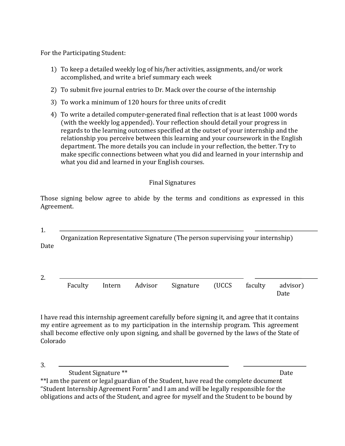For the Participating Student:

- 1) To keep a detailed weekly log of his/her activities, assignments, and/or work accomplished, and write a brief summary each week
- 2) To submit five journal entries to Dr. Mack over the course of the internship
- 3) To work a minimum of 120 hours for three units of credit
- 4) To write a detailed computer-generated final reflection that is at least 1000 words (with the weekly log appended). Your reflection should detail your progress in regards to the learning outcomes specified at the outset of your internship and the relationship you perceive between this learning and your coursework in the English department. The more details you can include in your reflection, the better. Try to make specific connections between what you did and learned in your internship and what you did and learned in your English courses.

## Final Signatures

Those signing below agree to abide by the terms and conditions as expressed in this Agreement.

1.

Organization Representative Signature (The person supervising your internship) Date

| z.                                                         |      |
|------------------------------------------------------------|------|
| Intern Advisor Signature (UCCS faculty advisor)<br>Faculty | Date |

I have read this internship agreement carefully before signing it, and agree that it contains my entire agreement as to my participation in the internship program. This agreement shall become effective only upon signing, and shall be governed by the laws of the State of Colorado

3.

Student Signature \*\* Date

\*\*I am the parent or legal guardian of the Student, have read the complete document "Student Internship Agreement Form" and I am and will be legally responsible for the obligations and acts of the Student, and agree for myself and the Student to be bound by